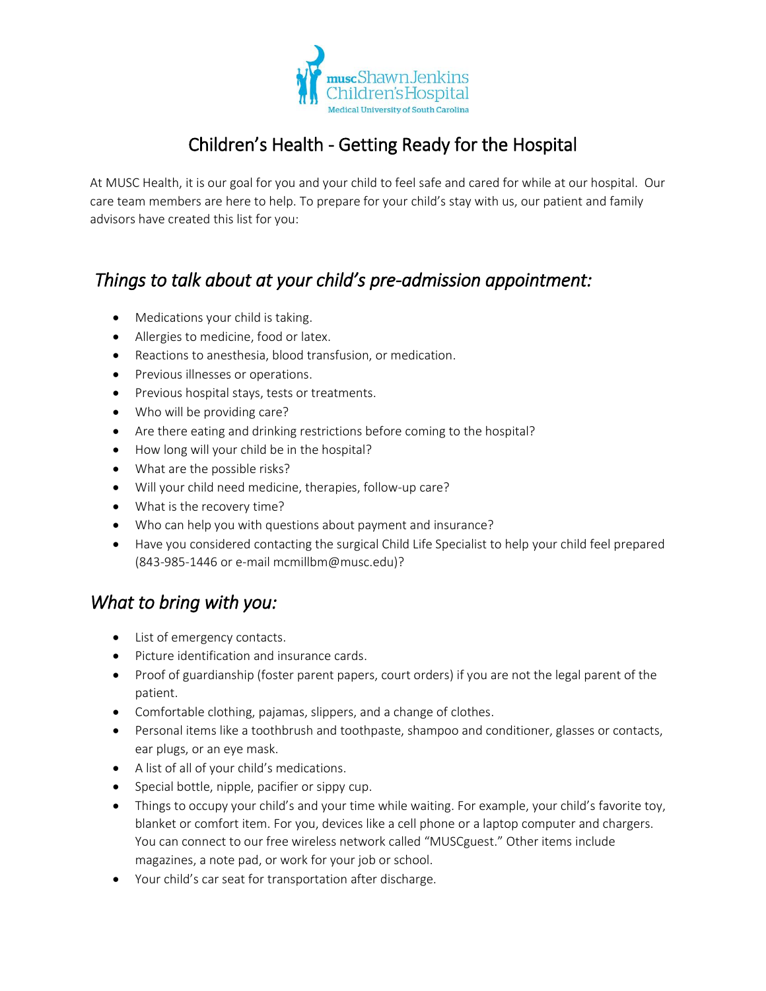

# Children's Health - Getting Ready for the Hospital

At MUSC Health, it is our goal for you and your child to feel safe and cared for while at our hospital. Our care team members are here to help. To prepare for your child's stay with us, our patient and family advisors have created this list for you:

## *Things to talk about at your child's pre-admission appointment:*

- Medications your child is taking.
- Allergies to medicine, food or latex.
- Reactions to anesthesia, blood transfusion, or medication.
- Previous illnesses or operations.
- Previous hospital stays, tests or treatments.
- Who will be providing care?
- Are there eating and drinking restrictions before coming to the hospital?
- How long will your child be in the hospital?
- What are the possible risks?
- Will your child need medicine, therapies, follow-up care?
- What is the recovery time?
- Who can help you with questions about payment and insurance?
- Have you considered contacting the surgical Child Life Specialist to help your child feel prepared (843-985-1446 or e-mail mcmillbm@musc.edu)?

### *What to bring with you:*

- List of emergency contacts.
- Picture identification and insurance cards.
- Proof of guardianship (foster parent papers, court orders) if you are not the legal parent of the patient.
- Comfortable clothing, pajamas, slippers, and a change of clothes.
- Personal items like a toothbrush and toothpaste, shampoo and conditioner, glasses or contacts, ear plugs, or an eye mask.
- A list of all of your child's medications.
- Special bottle, nipple, pacifier or sippy cup.
- Things to occupy your child's and your time while waiting. For example, your child's favorite toy, blanket or comfort item. For you, devices like a cell phone or a laptop computer and chargers. You can connect to our free wireless network called "MUSCguest." Other items include magazines, a note pad, or work for your job or school.
- Your child's car seat for transportation after discharge.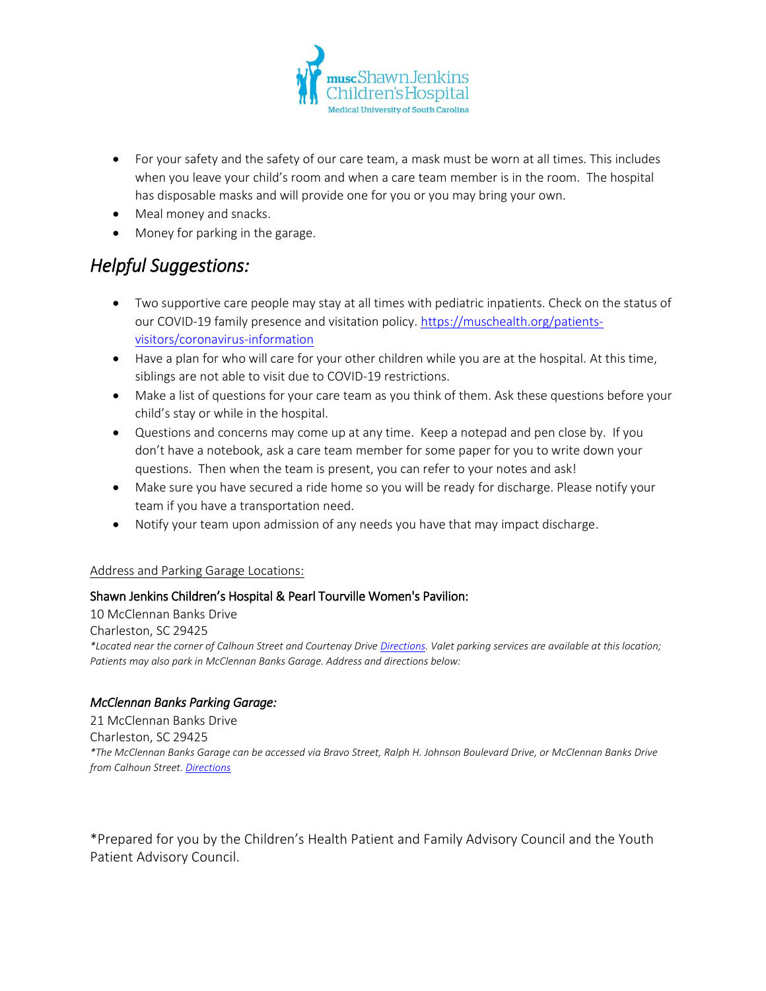

- For your safety and the safety of our care team, a mask must be worn at all times. This includes when you leave your child's room and when a care team member is in the room. The hospital has disposable masks and will provide one for you or you may bring your own.
- Meal money and snacks.
- Money for parking in the garage.

### *Helpful Suggestions:*

- Two supportive care people may stay at all times with pediatric inpatients. Check on the status of our COVID-19 family presence and visitation policy. [https://muschealth.org/patients](https://muschealth.org/patients-visitors/coronavirus-information)[visitors/coronavirus-information](https://muschealth.org/patients-visitors/coronavirus-information)
- Have a plan for who will care for your other children while you are at the hospital. At this time, siblings are not able to visit due to COVID-19 restrictions.
- Make a list of questions for your care team as you think of them. Ask these questions before your child's stay or while in the hospital.
- Questions and concerns may come up at any time. Keep a notepad and pen close by. If you don't have a notebook, ask a care team member for some paper for you to write down your questions. Then when the team is present, you can refer to your notes and ask!
- Make sure you have secured a ride home so you will be ready for discharge. Please notify your team if you have a transportation need.
- Notify your team upon admission of any needs you have that may impact discharge.

### Address and Parking Garage Locations:

### Shawn Jenkins Children's Hospital & Pearl Tourville Women's Pavilion:

10 McClennan Banks Drive Charleston, SC 29425 *\*Located near the corner of Calhoun Street and Courtenay Drive [Directions.](https://www.google.com/maps/dir/10%20McClennan%20Banks%20Drive+Charleston+SC+29425) Valet parking services are available at this location; Patients may also park in McClennan Banks Garage. Address and directions below:*

### *McClennan Banks Parking Garage:*

21 McClennan Banks Drive Charleston, SC 29425 *\*The McClennan Banks Garage can be accessed via Bravo Street, Ralph H. Johnson Boulevard Drive, or McClennan Banks Drive from Calhoun Street[. Directions](https://www.google.com/maps/dir/21%20McClennan%20Banks%20Drive+Charleston+SC+29425)*

\*Prepared for you by the Children's Health Patient and Family Advisory Council and the Youth Patient Advisory Council.